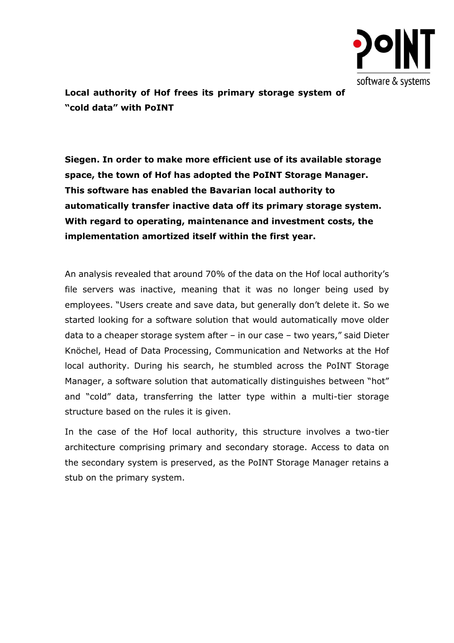

**Local authority of Hof frees its primary storage system of "cold data" with PoINT**

**Siegen. In order to make more efficient use of its available storage space, the town of Hof has adopted the PoINT Storage Manager. This software has enabled the Bavarian local authority to automatically transfer inactive data off its primary storage system. With regard to operating, maintenance and investment costs, the implementation amortized itself within the first year.**

An analysis revealed that around 70% of the data on the Hof local authority's file servers was inactive, meaning that it was no longer being used by employees. "Users create and save data, but generally don't delete it. So we started looking for a software solution that would automatically move older data to a cheaper storage system after – in our case – two years," said Dieter Knöchel, Head of Data Processing, Communication and Networks at the Hof local authority. During his search, he stumbled across the PoINT Storage Manager, a software solution that automatically distinguishes between "hot" and "cold" data, transferring the latter type within a multi-tier storage structure based on the rules it is given.

In the case of the Hof local authority, this structure involves a two-tier architecture comprising primary and secondary storage. Access to data on the secondary system is preserved, as the PoINT Storage Manager retains a stub on the primary system.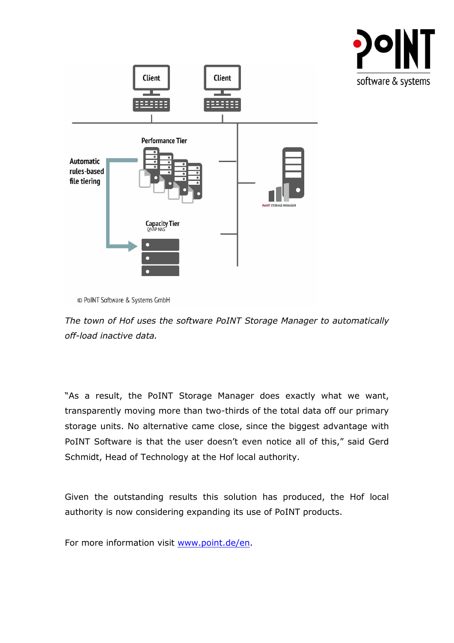



<sup>©</sup> PoINT Software & Systems GmbH

*The town of Hof uses the software PoINT Storage Manager to automatically off-load inactive data.*

"As a result, the PoINT Storage Manager does exactly what we want, transparently moving more than two-thirds of the total data off our primary storage units. No alternative came close, since the biggest advantage with PoINT Software is that the user doesn't even notice all of this," said Gerd Schmidt, Head of Technology at the Hof local authority.

Given the outstanding results this solution has produced, the Hof local authority is now considering expanding its use of PoINT products.

For more information visit [www.point.de/en.](http://www.point.de/en)